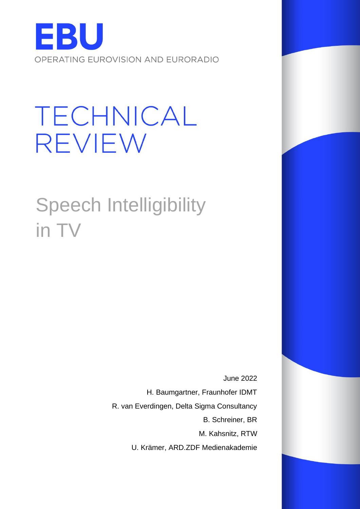

# TECHNICAL REVIEW

Speech Intelligibility in TV

> June 2022 H. Baumgartner, Fraunhofer IDMT R. van Everdingen, Delta Sigma Consultancy B. Schreiner, BR M. Kahsnitz, RTW U. Krämer, ARD.ZDF Medienakademie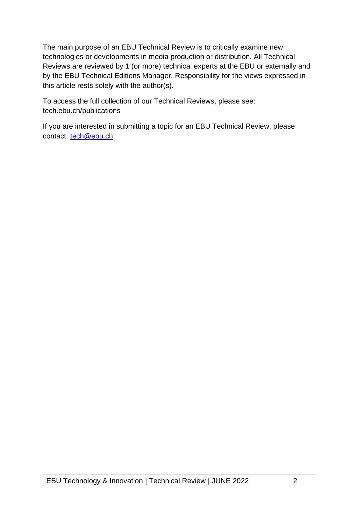The main purpose of an EBU Technical Review is to critically examine new technologies or developments in media production or distribution. All Technical Reviews are reviewed by 1 (or more) technical experts at the EBU or externally and by the EBU Technical Editions Manager. Responsibility for the views expressed in this article rests solely with the author(s).

To access the full collection of our Technical Reviews, please see: tech.ebu.ch/publications

If you are interested in submitting a topic for an EBU Technical Review, please contact: [tech@ebu.ch](mailto:tech@ebu.ch)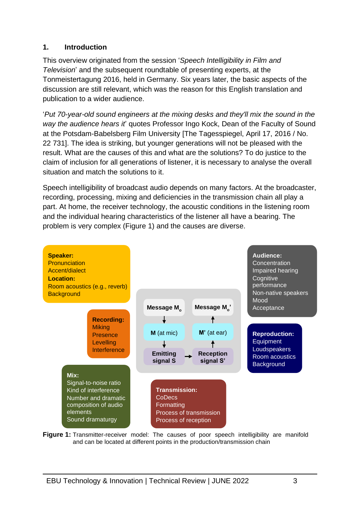#### **1. Introduction**

This overview originated from the session '*Speech Intelligibility in Film and Television*' and the subsequent roundtable of presenting experts, at the Tonmeistertagung 2016, held in Germany. Six years later, the basic aspects of the discussion are still relevant, which was the reason for this English translation and publication to a wider audience.

'*Put 70-year-old sound engineers at the mixing desks and they'll mix the sound in the way the audience hears it*' quotes Professor Ingo Kock, Dean of the Faculty of Sound at the Potsdam-Babelsberg Film University [The Tagesspiegel, April 17, 2016 / No. 22 731]. The idea is striking, but younger generations will not be pleased with the result. What are the causes of this and what are the solutions? To do justice to the claim of inclusion for all generations of listener, it is necessary to analyse the overall situation and match the solutions to it.

Speech intelligibility of broadcast audio depends on many factors. At the broadcaster, recording, processing, mixing and deficiencies in the transmission chain all play a part. At home, the receiver technology, the acoustic conditions in the listening room and the individual hearing characteristics of the listener all have a bearing. The problem is very complex (Figure 1) and the causes are diverse.



**Figure 1:** Transmitter-receiver model: The causes of poor speech intelligibility are manifold and can be located at different points in the production/transmission chain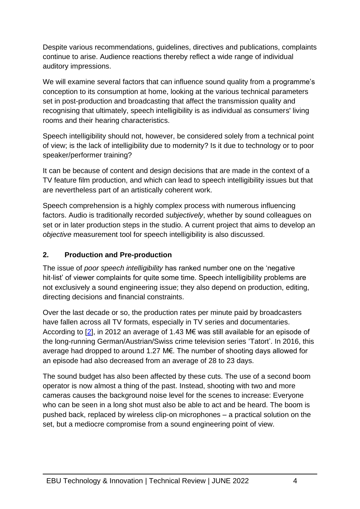Despite various recommendations, guidelines, directives and publications, complaints continue to arise. Audience reactions thereby reflect a wide range of individual auditory impressions.

We will examine several factors that can influence sound quality from a programme's conception to its consumption at home, looking at the various technical parameters set in post-production and broadcasting that affect the transmission quality and recognising that ultimately, speech intelligibility is as individual as consumers' living rooms and their hearing characteristics.

Speech intelligibility should not, however, be considered solely from a technical point of view; is the lack of intelligibility due to modernity? Is it due to technology or to poor speaker/performer training?

It can be because of content and design decisions that are made in the context of a TV feature film production, and which can lead to speech intelligibility issues but that are nevertheless part of an artistically coherent work.

Speech comprehension is a highly complex process with numerous influencing factors. Audio is traditionally recorded *subjectively*, whether by sound colleagues on set or in later production steps in the studio. A current project that aims to develop an *objective* measurement tool for speech intelligibility is also discussed.

#### **2. Production and Pre-production**

The issue of *poor speech intelligibility* has ranked number one on the 'negative hit-list' of viewer complaints for quite some time. Speech intelligibility problems are not exclusively a sound engineering issue; they also depend on production, editing, directing decisions and financial constraints.

Over the last decade or so, the production rates per minute paid by broadcasters have fallen across all TV formats, especially in TV series and documentaries. According to [\[2\]](#page-17-0), in 2012 an average of 1.43 M€ was still available for an episode of the long-running German/Austrian/Swiss crime television series 'Tatort'. In 2016, this average had dropped to around 1.27 M€. The number of shooting days allowed for an episode had also decreased from an average of 28 to 23 days.

The sound budget has also been affected by these cuts. The use of a second boom operator is now almost a thing of the past. Instead, shooting with two and more cameras causes the background noise level for the scenes to increase: Everyone who can be seen in a long shot must also be able to act and be heard. The boom is pushed back, replaced by wireless clip-on microphones – a practical solution on the set, but a mediocre compromise from a sound engineering point of view.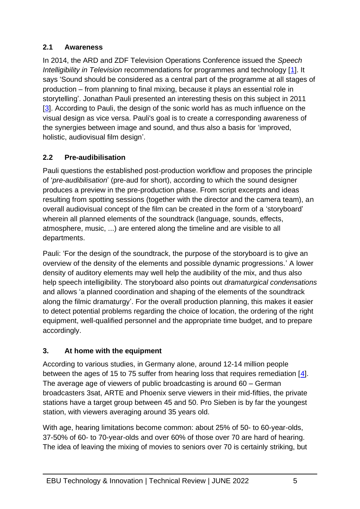#### **2.1 Awareness**

In 2014, the ARD and ZDF Television Operations Conference issued the *Speech Intelligibility in Television* recommendations for programmes and technology [\[1\]](#page-17-1). It says 'Sound should be considered as a central part of the programme at all stages of production – from planning to final mixing, because it plays an essential role in storytelling'. Jonathan Pauli presented an interesting thesis on this subject in 2011 [\[3\]](#page-17-2). According to Pauli, the design of the sonic world has as much influence on the visual design as vice versa. Pauli's goal is to create a corresponding awareness of the synergies between image and sound, and thus also a basis for 'improved, holistic, audiovisual film design'.

#### **2.2 Pre-audibilisation**

Pauli questions the established post-production workflow and proposes the principle of '*pre-audibilisation*' (pre-aud for short), according to which the sound designer produces a preview in the pre-production phase. From script excerpts and ideas resulting from spotting sessions (together with the director and the camera team), an overall audiovisual concept of the film can be created in the form of a 'storyboard' wherein all planned elements of the soundtrack (language, sounds, effects, atmosphere, music, ...) are entered along the timeline and are visible to all departments.

Pauli: 'For the design of the soundtrack, the purpose of the storyboard is to give an overview of the density of the elements and possible dynamic progressions.' A lower density of auditory elements may well help the audibility of the mix, and thus also help speech intelligibility. The storyboard also points out *dramaturgical condensations* and allows 'a planned coordination and shaping of the elements of the soundtrack along the filmic dramaturgy'. For the overall production planning, this makes it easier to detect potential problems regarding the choice of location, the ordering of the right equipment, well-qualified personnel and the appropriate time budget, and to prepare accordingly.

# **3. At home with the equipment**

According to various studies, in Germany alone, around 12-14 million people between the ages of 15 to 75 suffer from hearing loss that requires remediation [\[4\]](#page-17-3). The average age of viewers of public broadcasting is around 60 – German broadcasters 3sat, ARTE and Phoenix serve viewers in their mid-fifties, the private stations have a target group between 45 and 50. Pro Sieben is by far the youngest station, with viewers averaging around 35 years old.

With age, hearing limitations become common: about 25% of 50- to 60-year-olds, 37-50% of 60- to 70-year-olds and over 60% of those over 70 are hard of hearing. The idea of leaving the mixing of movies to seniors over 70 is certainly striking, but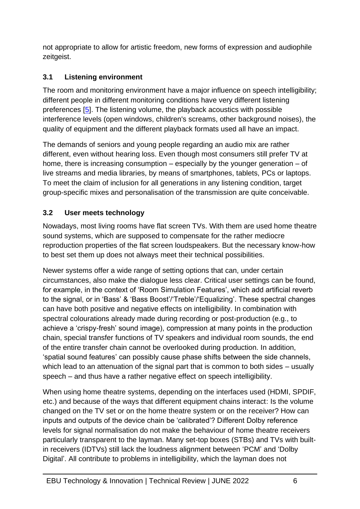not appropriate to allow for artistic freedom, new forms of expression and audiophile zeitgeist.

#### **3.1 Listening environment**

The room and monitoring environment have a major influence on speech intelligibility; different people in different monitoring conditions have very different listening preferences [\[5\]](#page-18-0). The listening volume, the playback acoustics with possible interference levels (open windows, children's screams, other background noises), the quality of equipment and the different playback formats used all have an impact.

The demands of seniors and young people regarding an audio mix are rather different, even without hearing loss. Even though most consumers still prefer TV at home, there is increasing consumption – especially by the younger generation – of live streams and media libraries, by means of smartphones, tablets, PCs or laptops. To meet the claim of inclusion for all generations in any listening condition, target group-specific mixes and personalisation of the transmission are quite conceivable.

#### **3.2 User meets technology**

Nowadays, most living rooms have flat screen TVs. With them are used home theatre sound systems, which are supposed to compensate for the rather mediocre reproduction properties of the flat screen loudspeakers. But the necessary know-how to best set them up does not always meet their technical possibilities.

Newer systems offer a wide range of setting options that can, under certain circumstances, also make the dialogue less clear. Critical user settings can be found, for example, in the context of 'Room Simulation Features', which add artificial reverb to the signal, or in 'Bass' & 'Bass Boost'/'Treble'/'Equalizing'. These spectral changes can have both positive and negative effects on intelligibility. In combination with spectral colourations already made during recording or post-production (e.g., to achieve a 'crispy-fresh' sound image), compression at many points in the production chain, special transfer functions of TV speakers and individual room sounds, the end of the entire transfer chain cannot be overlooked during production. In addition, 'spatial sound features' can possibly cause phase shifts between the side channels, which lead to an attenuation of the signal part that is common to both sides – usually speech – and thus have a rather negative effect on speech intelligibility.

When using home theatre systems, depending on the interfaces used (HDMI, SPDIF, etc.) and because of the ways that different equipment chains interact: Is the volume changed on the TV set or on the home theatre system or on the receiver? How can inputs and outputs of the device chain be 'calibrated'? Different Dolby reference levels for signal normalisation do not make the behaviour of home theatre receivers particularly transparent to the layman. Many set-top boxes (STBs) and TVs with builtin receivers (IDTVs) still lack the loudness alignment between 'PCM' and 'Dolby Digital'. All contribute to problems in intelligibility, which the layman does not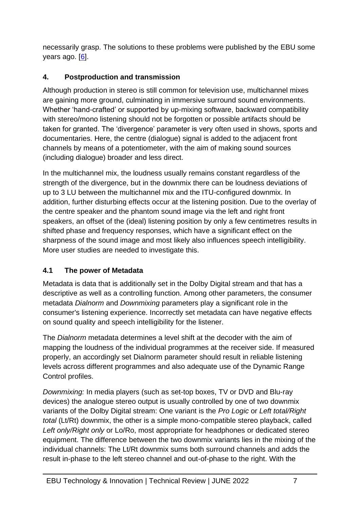necessarily grasp. The solutions to these problems were published by the EBU some years ago. [\[6\]](#page-18-1).

#### **4. Postproduction and transmission**

Although production in stereo is still common for television use, multichannel mixes are gaining more ground, culminating in immersive surround sound environments. Whether 'hand-crafted' or supported by up-mixing software, backward compatibility with stereo/mono listening should not be forgotten or possible artifacts should be taken for granted. The 'divergence' parameter is very often used in shows, sports and documentaries. Here, the centre (dialogue) signal is added to the adjacent front channels by means of a potentiometer, with the aim of making sound sources (including dialogue) broader and less direct.

In the multichannel mix, the loudness usually remains constant regardless of the strength of the divergence, but in the downmix there can be loudness deviations of up to 3 LU between the multichannel mix and the ITU-configured downmix. In addition, further disturbing effects occur at the listening position. Due to the overlay of the centre speaker and the phantom sound image via the left and right front speakers, an offset of the (ideal) listening position by only a few centimetres results in shifted phase and frequency responses, which have a significant effect on the sharpness of the sound image and most likely also influences speech intelligibility. More user studies are needed to investigate this.

# **4.1 The power of Metadata**

Metadata is data that is additionally set in the Dolby Digital stream and that has a descriptive as well as a controlling function. Among other parameters, the consumer metadata *Dialnorm* and *Downmixing* parameters play a significant role in the consumer's listening experience. Incorrectly set metadata can have negative effects on sound quality and speech intelligibility for the listener.

The *Dialnorm* metadata determines a level shift at the decoder with the aim of mapping the loudness of the individual programmes at the receiver side. If measured properly, an accordingly set Dialnorm parameter should result in reliable listening levels across different programmes and also adequate use of the Dynamic Range Control profiles.

*Downmixing:* In media players (such as set-top boxes, TV or DVD and Blu-ray devices) the analogue stereo output is usually controlled by one of two downmix variants of the Dolby Digital stream: One variant is the *Pro Logic* or *Left total/Right total* (Lt/Rt) downmix, the other is a simple mono-compatible stereo playback, called *Left only/Right only* or Lo/Ro, most appropriate for headphones or dedicated stereo equipment. The difference between the two downmix variants lies in the mixing of the individual channels: The Lt/Rt downmix sums both surround channels and adds the result in-phase to the left stereo channel and out-of-phase to the right. With the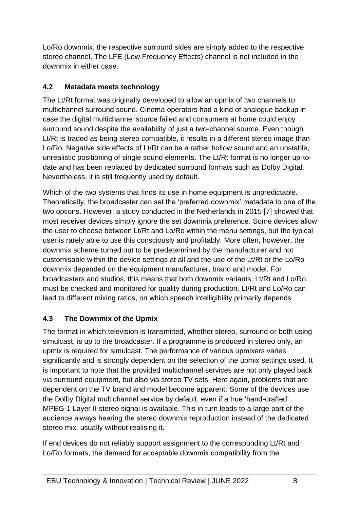Lo/Ro downmix, the respective surround sides are simply added to the respective stereo channel. The LFE (Low Frequency Effects) channel is not included in the downmix in either case.

#### **4.2 Metadata meets technology**

The Lt/Rt format was originally developed to allow an upmix of two channels to multichannel surround sound. Cinema operators had a kind of analogue backup in case the digital multichannel source failed and consumers at home could enjoy surround sound despite the availability of just a two-channel source. Even though Lt/Rt is traded as being stereo compatible, it results in a different stereo image than Lo/Ro. Negative side effects of Lt/Rt can be a rather hollow sound and an unstable, unrealistic positioning of single sound elements. The Lt/Rt format is no longer up-todate and has been replaced by dedicated surround formats such as Dolby Digital. Nevertheless, it is still frequently used by default.

Which of the two systems that finds its use in home equipment is unpredictable. Theoretically, the broadcaster can set the 'preferred downmix' metadata to one of the two options. However, a study conducted in the Netherlands in 2015 [\[7\]](#page-18-2) showed that most receiver devices simply ignore the set downmix preference. Some devices allow the user to choose between Lt/Rt and Lo/Ro within the menu settings, but the typical user is rarely able to use this consciously and profitably. More often, however, the downmix scheme turned out to be predetermined by the manufacturer and not customisable within the device settings at all and the use of the Lt/Rt or the Lo/Ro downmix depended on the equipment manufacturer, brand and model. For broadcasters and studios, this means that both downmix variants, Lt/Rt and Lo/Ro, must be checked and monitored for quality during production. Lt/Rt and Lo/Ro can lead to different mixing ratios, on which speech intelligibility primarily depends.

# **4.3 The Downmix of the Upmix**

The format in which television is transmitted, whether stereo, surround or both using simulcast, is up to the broadcaster. If a programme is produced in stereo only, an upmix is required for simulcast. The performance of various upmixers varies significantly and is strongly dependent on the selection of the upmix settings used. It is important to note that the provided multichannel services are not only played back via surround equipment, but also via stereo TV sets. Here again, problems that are dependent on the TV brand and model become apparent: Some of the devices use the Dolby Digital multichannel service by default, even if a true 'hand-crafted' MPEG-1 Layer II stereo signal is available. This in turn leads to a large part of the audience always hearing the stereo downmix reproduction instead of the dedicated stereo mix, usually without realising it.

If end devices do not reliably support assignment to the corresponding Lt/Rt and Lo/Ro formats, the demand for acceptable downmix compatibility from the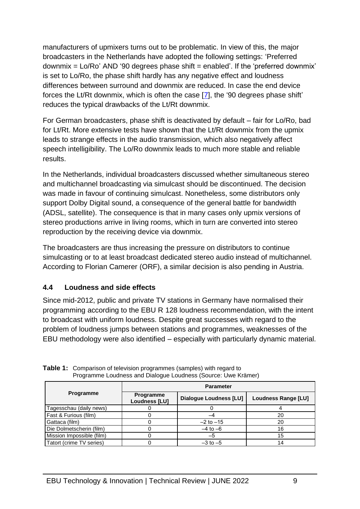manufacturers of upmixers turns out to be problematic. In view of this, the major broadcasters in the Netherlands have adopted the following settings: 'Preferred downmix  $=$  Lo/Ro' AND '90 degrees phase shift  $=$  enabled'. If the 'preferred downmix' is set to Lo/Ro, the phase shift hardly has any negative effect and loudness differences between surround and downmix are reduced. In case the end device forces the Lt/Rt downmix, which is often the case [\[7\]](#page-18-2), the '90 degrees phase shift' reduces the typical drawbacks of the Lt/Rt downmix.

For German broadcasters, phase shift is deactivated by default – fair for Lo/Ro, bad for Lt/Rt. More extensive tests have shown that the Lt/Rt downmix from the upmix leads to strange effects in the audio transmission, which also negatively affect speech intelligibility. The Lo/Ro downmix leads to much more stable and reliable results.

In the Netherlands, individual broadcasters discussed whether simultaneous stereo and multichannel broadcasting via simulcast should be discontinued. The decision was made in favour of continuing simulcast. Nonetheless, some distributors only support Dolby Digital sound, a consequence of the general battle for bandwidth (ADSL, satellite). The consequence is that in many cases only upmix versions of stereo productions arrive in living rooms, which in turn are converted into stereo reproduction by the receiving device via downmix.

The broadcasters are thus increasing the pressure on distributors to continue simulcasting or to at least broadcast dedicated stereo audio instead of multichannel. According to Florian Camerer (ORF), a similar decision is also pending in Austria.

#### **4.4 Loudness and side effects**

Since mid-2012, public and private TV stations in Germany have normalised their programming according to the EBU R 128 loudness recommendation, with the intent to broadcast with uniform loudness. Despite great successes with regard to the problem of loudness jumps between stations and programmes, weaknesses of the EBU methodology were also identified – especially with particularly dynamic material.

| <b>Programme</b>          | <b>Parameter</b>                  |                        |                     |
|---------------------------|-----------------------------------|------------------------|---------------------|
|                           | Programme<br><b>Loudness [LU]</b> | Dialogue Loudness [LU] | Loudness Range [LU] |
| Tagesschau (daily news)   |                                   |                        |                     |
| Fast & Furious (film)     |                                   |                        | 20                  |
| Gattaca (film)            |                                   | $-2$ to $-15$          | 20                  |
| Die Dolmetscherin (film)  |                                   | $-4$ to $-6$           | 16                  |
| Mission Impossible (film) |                                   | $-5$                   | 15                  |
| Tatort (crime TV series)  |                                   | $-3$ to $-5$           |                     |

**Table 1:** Comparison of television programmes (samples) with regard to Programme Loudness and Dialogue Loudness (Source: Uwe Krämer)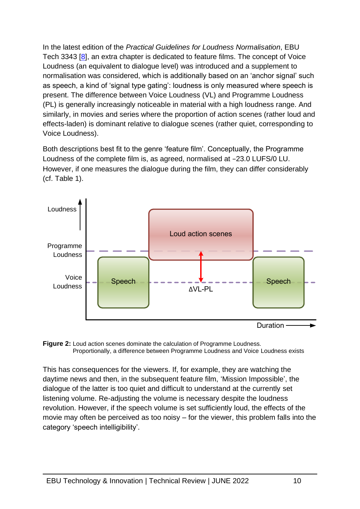In the latest edition of the *Practical Guidelines for Loudness Normalisation*, EBU Tech 3343 [\[8\]](#page-18-3), an extra chapter is dedicated to feature films. The concept of Voice Loudness (an equivalent to dialogue level) was introduced and a supplement to normalisation was considered, which is additionally based on an 'anchor signal' such as speech, a kind of 'signal type gating': loudness is only measured where speech is present. The difference between Voice Loudness (VL) and Programme Loudness (PL) is generally increasingly noticeable in material with a high loudness range. And similarly, in movies and series where the proportion of action scenes (rather loud and effects-laden) is dominant relative to dialogue scenes (rather quiet, corresponding to Voice Loudness).

Both descriptions best fit to the genre 'feature film'. Conceptually, the Programme Loudness of the complete film is, as agreed, normalised at −23.0 LUFS/0 LU. However, if one measures the dialogue during the film, they can differ considerably (cf. Table 1).



**Figure 2:** Loud action scenes dominate the calculation of Programme Loudness. Proportionally, a difference between Programme Loudness and Voice Loudness exists

This has consequences for the viewers. If, for example, they are watching the daytime news and then, in the subsequent feature film, 'Mission Impossible', the dialogue of the latter is too quiet and difficult to understand at the currently set listening volume. Re-adjusting the volume is necessary despite the loudness revolution. However, if the speech volume is set sufficiently loud, the effects of the movie may often be perceived as too noisy – for the viewer, this problem falls into the category 'speech intelligibility'.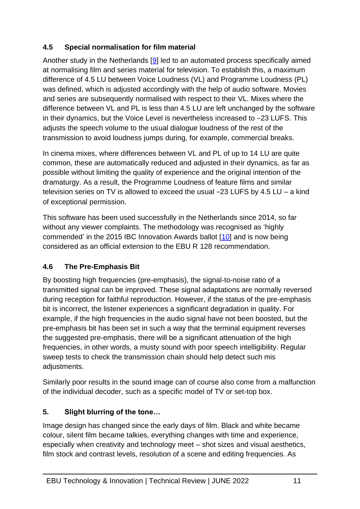#### **4.5 Special normalisation for film material**

Another study in the Netherlands [\[9\]](#page-18-4) led to an automated process specifically aimed at normalising film and series material for television. To establish this, a maximum difference of 4.5 LU between Voice Loudness (VL) and Programme Loudness (PL) was defined, which is adjusted accordingly with the help of audio software. Movies and series are subsequently normalised with respect to their VL. Mixes where the difference between VL and PL is less than 4.5 LU are left unchanged by the software in their dynamics, but the Voice Level is nevertheless increased to −23 LUFS. This adjusts the speech volume to the usual dialogue loudness of the rest of the transmission to avoid loudness jumps during, for example, commercial breaks.

In cinema mixes, where differences between VL and PL of up to 14 LU are quite common, these are automatically reduced and adjusted in their dynamics, as far as possible without limiting the quality of experience and the original intention of the dramaturgy. As a result, the Programme Loudness of feature films and similar television series on TV is allowed to exceed the usual −23 LUFS by 4.5 LU – a kind of exceptional permission.

This software has been used successfully in the Netherlands since 2014, so far without any viewer complaints. The methodology was recognised as 'highly commended' in the 2015 IBC Innovation Awards ballot [\[10\]](#page-18-5) and is now being considered as an official extension to the EBU R 128 recommendation.

# **4.6 The Pre-Emphasis Bit**

By boosting high frequencies (pre-emphasis), the signal-to-noise ratio of a transmitted signal can be improved. These signal adaptations are normally reversed during reception for faithful reproduction. However, if the status of the pre-emphasis bit is incorrect, the listener experiences a significant degradation in quality. For example, if the high frequencies in the audio signal have not been boosted, but the pre-emphasis bit has been set in such a way that the terminal equipment reverses the suggested pre-emphasis, there will be a significant attenuation of the high frequencies, in other words, a musty sound with poor speech intelligibility. Regular sweep tests to check the transmission chain should help detect such mis adjustments.

Similarly poor results in the sound image can of course also come from a malfunction of the individual decoder, such as a specific model of TV or set-top box.

#### **5. Slight blurring of the tone…**

Image design has changed since the early days of film. Black and white became colour, silent film became talkies, everything changes with time and experience, especially when creativity and technology meet – shot sizes and visual aesthetics, film stock and contrast levels, resolution of a scene and editing frequencies. As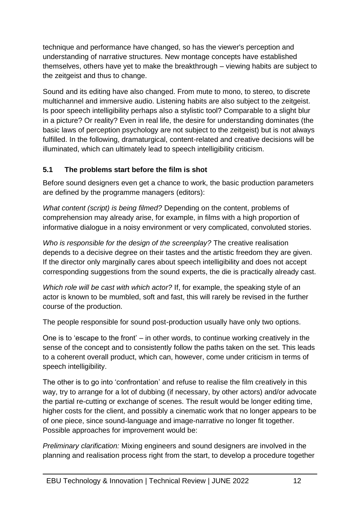technique and performance have changed, so has the viewer's perception and understanding of narrative structures. New montage concepts have established themselves, others have yet to make the breakthrough – viewing habits are subject to the zeitgeist and thus to change.

Sound and its editing have also changed. From mute to mono, to stereo, to discrete multichannel and immersive audio. Listening habits are also subject to the zeitgeist. Is poor speech intelligibility perhaps also a stylistic tool? Comparable to a slight blur in a picture? Or reality? Even in real life, the desire for understanding dominates (the basic laws of perception psychology are not subject to the zeitgeist) but is not always fulfilled. In the following, dramaturgical, content-related and creative decisions will be illuminated, which can ultimately lead to speech intelligibility criticism.

#### **5.1 The problems start before the film is shot**

Before sound designers even get a chance to work, the basic production parameters are defined by the programme managers (editors):

*What content (script) is being filmed?* Depending on the content, problems of comprehension may already arise, for example, in films with a high proportion of informative dialogue in a noisy environment or very complicated, convoluted stories.

*Who is responsible for the design of the screenplay?* The creative realisation depends to a decisive degree on their tastes and the artistic freedom they are given. If the director only marginally cares about speech intelligibility and does not accept corresponding suggestions from the sound experts, the die is practically already cast.

*Which role will be cast with which actor?* If, for example, the speaking style of an actor is known to be mumbled, soft and fast, this will rarely be revised in the further course of the production.

The people responsible for sound post-production usually have only two options.

One is to 'escape to the front' – in other words, to continue working creatively in the sense of the concept and to consistently follow the paths taken on the set. This leads to a coherent overall product, which can, however, come under criticism in terms of speech intelligibility.

The other is to go into 'confrontation' and refuse to realise the film creatively in this way, try to arrange for a lot of dubbing (if necessary, by other actors) and/or advocate the partial re-cutting or exchange of scenes. The result would be longer editing time, higher costs for the client, and possibly a cinematic work that no longer appears to be of one piece, since sound-language and image-narrative no longer fit together. Possible approaches for improvement would be:

*Preliminary clarification:* Mixing engineers and sound designers are involved in the planning and realisation process right from the start, to develop a procedure together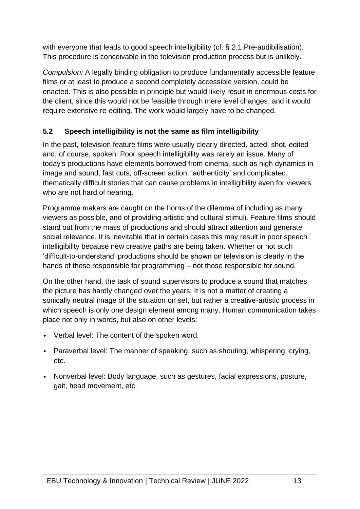with everyone that leads to good speech intelligibility (cf. § 2.1 Pre-audibilisation). This procedure is conceivable in the television production process but is unlikely.

*Compulsion:* A legally binding obligation to produce fundamentally accessible feature films or at least to produce a second completely accessible version, could be enacted. This is also possible in principle but would likely result in enormous costs for the client, since this would not be feasible through mere level changes, and it would require extensive re-editing. The work would largely have to be changed.

# **5.2 Speech intelligibility is not the same as film intelligibility**

In the past, television feature films were usually clearly directed, acted, shot, edited and, of course, spoken. Poor speech intelligibility was rarely an issue. Many of today's productions have elements borrowed from cinema, such as high dynamics in image and sound, fast cuts, off-screen action, 'authenticity' and complicated, thematically difficult stories that can cause problems in intelligibility even for viewers who are not hard of hearing.

Programme makers are caught on the horns of the dilemma of including as many viewers as possible, and of providing artistic and cultural stimuli. Feature films should stand out from the mass of productions and should attract attention and generate social relevance. It is inevitable that in certain cases this may result in poor speech intelligibility because new creative paths are being taken. Whether or not such 'difficult-to-understand' productions should be shown on television is clearly in the hands of those responsible for programming – not those responsible for sound.

On the other hand, the task of sound supervisors to produce a sound that matches the picture has hardly changed over the years: It is not a matter of creating a sonically neutral image of the situation on set, but rather a creative-artistic process in which speech is only one design element among many. Human communication takes place not only in words, but also on other levels:

- Verbal level: The content of the spoken word.
- Paraverbal level: The manner of speaking, such as shouting, whispering, crying, etc.
- Nonverbal level: Body language, such as gestures, facial expressions, posture, gait, head movement, etc.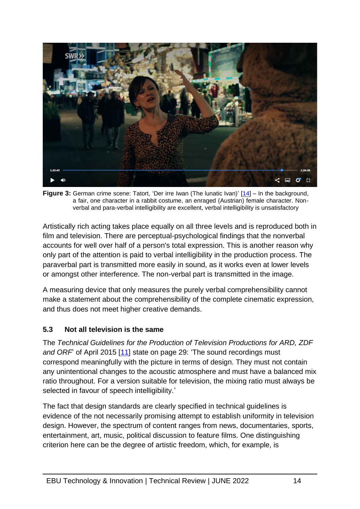

**Figure 3:** German crime scene: Tatort, 'Der irre Iwan (The lunatic Ivan)' [\[14\]](#page-18-6) – In the background, a fair, one character in a rabbit costume, an enraged (Austrian) female character. Nonverbal and para-verbal intelligibility are excellent, verbal intelligibility is unsatisfactory

Artistically rich acting takes place equally on all three levels and is reproduced both in film and television. There are perceptual-psychological findings that the nonverbal accounts for well over half of a person's total expression. This is another reason why only part of the attention is paid to verbal intelligibility in the production process. The paraverbal part is transmitted more easily in sound, as it works even at lower levels or amongst other interference. The non-verbal part is transmitted in the image.

A measuring device that only measures the purely verbal comprehensibility cannot make a statement about the comprehensibility of the complete cinematic expression, and thus does not meet higher creative demands.

#### **5.3 Not all television is the same**

The *Technical Guidelines for the Production of Television Productions for ARD, ZDF and ORF* of April 2015 [\[11\]](#page-18-7) state on page 29: 'The sound recordings must correspond meaningfully with the picture in terms of design. They must not contain any unintentional changes to the acoustic atmosphere and must have a balanced mix ratio throughout. For a version suitable for television, the mixing ratio must always be selected in favour of speech intelligibility.'

The fact that design standards are clearly specified in technical guidelines is evidence of the not necessarily promising attempt to establish uniformity in television design. However, the spectrum of content ranges from news, documentaries, sports, entertainment, art, music, political discussion to feature films. One distinguishing criterion here can be the degree of artistic freedom, which, for example, is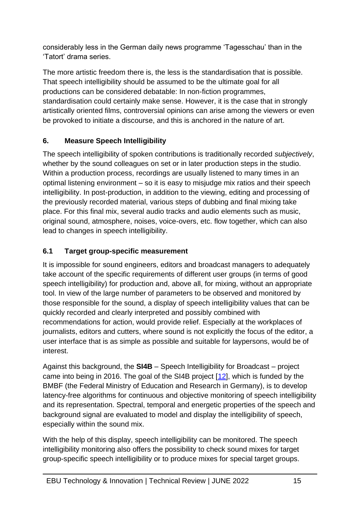considerably less in the German daily news programme 'Tagesschau' than in the 'Tatort' drama series.

The more artistic freedom there is, the less is the standardisation that is possible. That speech intelligibility should be assumed to be the ultimate goal for all productions can be considered debatable: In non-fiction programmes, standardisation could certainly make sense. However, it is the case that in strongly artistically oriented films, controversial opinions can arise among the viewers or even be provoked to initiate a discourse, and this is anchored in the nature of art.

#### **6. Measure Speech Intelligibility**

The speech intelligibility of spoken contributions is traditionally recorded *subjectively*, whether by the sound colleagues on set or in later production steps in the studio. Within a production process, recordings are usually listened to many times in an optimal listening environment – so it is easy to misjudge mix ratios and their speech intelligibility. In post-production, in addition to the viewing, editing and processing of the previously recorded material, various steps of dubbing and final mixing take place. For this final mix, several audio tracks and audio elements such as music, original sound, atmosphere, noises, voice-overs, etc. flow together, which can also lead to changes in speech intelligibility.

#### **6.1 Target group-specific measurement**

It is impossible for sound engineers, editors and broadcast managers to adequately take account of the specific requirements of different user groups (in terms of good speech intelligibility) for production and, above all, for mixing, without an appropriate tool. In view of the large number of parameters to be observed and monitored by those responsible for the sound, a display of speech intelligibility values that can be quickly recorded and clearly interpreted and possibly combined with recommendations for action, would provide relief. Especially at the workplaces of journalists, editors and cutters, where sound is not explicitly the focus of the editor, a user interface that is as simple as possible and suitable for laypersons, would be of interest.

Against this background, the **SI4B** – Speech Intelligibility for Broadcast – project came into being in 2016. The goal of the SI4B project [\[12\]](#page-18-8), which is funded by the BMBF (the Federal Ministry of Education and Research in Germany), is to develop latency-free algorithms for continuous and objective monitoring of speech intelligibility and its representation. Spectral, temporal and energetic properties of the speech and background signal are evaluated to model and display the intelligibility of speech, especially within the sound mix.

With the help of this display, speech intelligibility can be monitored. The speech intelligibility monitoring also offers the possibility to check sound mixes for target group-specific speech intelligibility or to produce mixes for special target groups.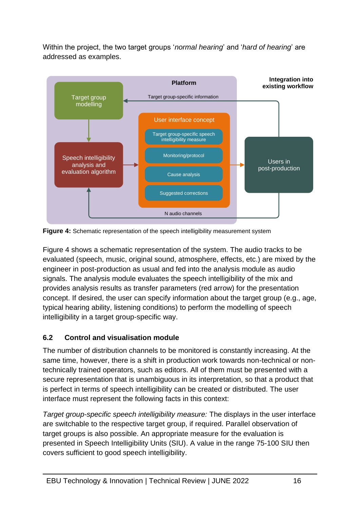Within the project, the two target groups '*normal hearing*' and '*hard of hearing*' are addressed as examples.



**Figure 4:** Schematic representation of the speech intelligibility measurement system

Figure 4 shows a schematic representation of the system. The audio tracks to be evaluated (speech, music, original sound, atmosphere, effects, etc.) are mixed by the engineer in post-production as usual and fed into the analysis module as audio signals. The analysis module evaluates the speech intelligibility of the mix and provides analysis results as transfer parameters (red arrow) for the presentation concept. If desired, the user can specify information about the target group (e.g., age, typical hearing ability, listening conditions) to perform the modelling of speech intelligibility in a target group-specific way.

# **6.2 Control and visualisation module**

The number of distribution channels to be monitored is constantly increasing. At the same time, however, there is a shift in production work towards non-technical or nontechnically trained operators, such as editors. All of them must be presented with a secure representation that is unambiguous in its interpretation, so that a product that is perfect in terms of speech intelligibility can be created or distributed. The user interface must represent the following facts in this context:

*Target group-specific speech intelligibility measure:* The displays in the user interface are switchable to the respective target group, if required. Parallel observation of target groups is also possible. An appropriate measure for the evaluation is presented in Speech Intelligibility Units (SIU). A value in the range 75-100 SIU then covers sufficient to good speech intelligibility.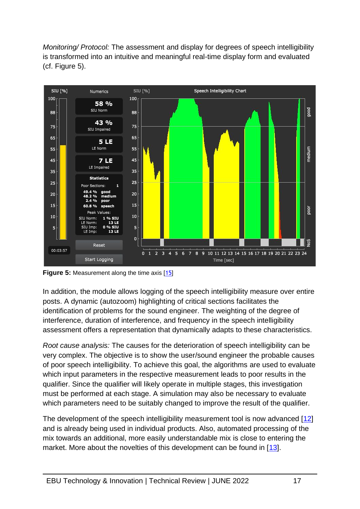*Monitoring/ Protocol:* The assessment and display for degrees of speech intelligibility is transformed into an intuitive and meaningful real-time display form and evaluated (cf. Figure 5).



**Figure 5:** Measurement along the time axis [[15](#page-18-9)]

In addition, the module allows logging of the speech intelligibility measure over entire posts. A dynamic (autozoom) highlighting of critical sections facilitates the identification of problems for the sound engineer. The weighting of the degree of interference, duration of interference, and frequency in the speech intelligibility assessment offers a representation that dynamically adapts to these characteristics.

*Root cause analysis:* The causes for the deterioration of speech intelligibility can be very complex. The objective is to show the user/sound engineer the probable causes of poor speech intelligibility. To achieve this goal, the algorithms are used to evaluate which input parameters in the respective measurement leads to poor results in the qualifier. Since the qualifier will likely operate in multiple stages, this investigation must be performed at each stage. A simulation may also be necessary to evaluate which parameters need to be suitably changed to improve the result of the qualifier.

The development of the speech intelligibility measurement tool is now advanced [\[12\]](#page-18-8) and is already being used in individual products. Also, automated processing of the mix towards an additional, more easily understandable mix is close to entering the market. More about the novelties of this development can be found in [\[13\]](#page-18-10).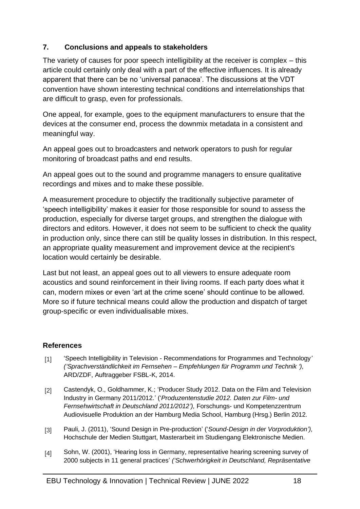#### **7. Conclusions and appeals to stakeholders**

The variety of causes for poor speech intelligibility at the receiver is complex – this article could certainly only deal with a part of the effective influences. It is already apparent that there can be no 'universal panacea'. The discussions at the VDT convention have shown interesting technical conditions and interrelationships that are difficult to grasp, even for professionals.

One appeal, for example, goes to the equipment manufacturers to ensure that the devices at the consumer end, process the downmix metadata in a consistent and meaningful way.

An appeal goes out to broadcasters and network operators to push for regular monitoring of broadcast paths and end results.

An appeal goes out to the sound and programme managers to ensure qualitative recordings and mixes and to make these possible.

A measurement procedure to objectify the traditionally subjective parameter of 'speech intelligibility' makes it easier for those responsible for sound to assess the production, especially for diverse target groups, and strengthen the dialogue with directors and editors. However, it does not seem to be sufficient to check the quality in production only, since there can still be quality losses in distribution. In this respect, an appropriate quality measurement and improvement device at the recipient's location would certainly be desirable.

Last but not least, an appeal goes out to all viewers to ensure adequate room acoustics and sound reinforcement in their living rooms. If each party does what it can, modern mixes or even 'art at the crime scene' should continue to be allowed. More so if future technical means could allow the production and dispatch of target group-specific or even individualisable mixes.

#### **References**

- <span id="page-17-1"></span>[1] 'Speech Intelligibility in Television - Recommendations for Programmes and Technology*' ('Sprachverständlichkeit im Fernsehen – Empfehlungen für Programm und Technik '),*  ARD/ZDF, Auftraggeber FSBL-K, 2014.
- <span id="page-17-0"></span>[2] Castendyk, O., Goldhammer, K.; 'Producer Study 2012. Data on the Film and Television Industry in Germany 2011/2012.' ('*Produzentenstudie 2012. Daten zur Film- und Fernsehwirtschaft in Deutschland 2011/2012'),* Forschungs- und Kompetenzzentrum Audiovisuelle Produktion an der Hamburg Media School, Hamburg (Hrsg.) Berlin 2012*.*
- <span id="page-17-2"></span>[3] Pauli, J. (2011), 'Sound Design in Pre-production' ('*Sound-Design in der Vorproduktion'),* Hochschule der Medien Stuttgart, Masterarbeit im Studiengang Elektronische Medien.
- <span id="page-17-3"></span>[4] Sohn, W. (2001), 'Hearing loss in Germany, representative hearing screening survey of 2000 subjects in 11 general practices' *('Schwerhörigkeit in Deutschland, Repräsentative*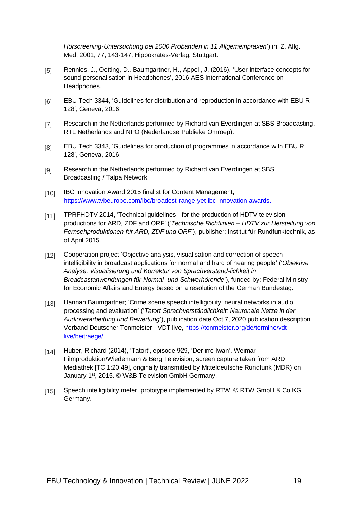*Hörscreening-Untersuchung bei 2000 Probanden in 11 Allgemeinpraxen*') in: Z. Allg. Med. 2001; 77; 143-147, Hippokrates-Verlag, Stuttgart.

- <span id="page-18-0"></span>[5] Rennies, J., Oetting, D., Baumgartner, H., Appell, J. (2016). 'User-interface concepts for sound personalisation in Headphones', 2016 AES International Conference on Headphones.
- <span id="page-18-1"></span>[6] EBU Tech 3344, 'Guidelines for distribution and reproduction in accordance with EBU R 128', Geneva, 2016.
- <span id="page-18-2"></span>[7] Research in the Netherlands performed by Richard van Everdingen at SBS Broadcasting, RTL Netherlands and NPO (Nederlandse Publieke Omroep).
- <span id="page-18-3"></span>[8] EBU Tech 3343, 'Guidelines for production of programmes in accordance with EBU R 128', Geneva, 2016.
- <span id="page-18-4"></span>[9] Research in the Netherlands performed by Richard van Everdingen at SBS Broadcasting / Talpa Network.
- <span id="page-18-5"></span>[10] IBC Innovation Award 2015 finalist for Content Management, [https://www.tvbeurope.com/ibc/broadest-range-yet-ibc-innovation-awards.](https://www.tvbeurope.com/ibc/broadest-range-yet-ibc-innovation-awards)
- <span id="page-18-7"></span>[11] TPRFHDTV 2014, 'Technical guidelines - for the production of HDTV television productions for ARD, ZDF and ORF' ('*Technische Richtlinien – HDTV zur Herstellung von Fernsehproduktionen für ARD, ZDF und ORF*'), publisher: Institut für Rundfunktechnik, as of April 2015.
- <span id="page-18-8"></span>[12] Cooperation project 'Objective analysis, visualisation and correction of speech intelligibility in broadcast applications for normal and hard of hearing people' ('*Objektive Analyse, Visualisierung und Korrektur von Sprachverständ-lichkeit in Broadcastanwendungen für Normal- und Schwerhörende*'), funded by: Federal Ministry for Economic Affairs and Energy based on a resolution of the German Bundestag.
- <span id="page-18-10"></span>[13] Hannah Baumgartner; 'Crime scene speech intelligibility: neural networks in audio processing and evaluation' ('*Tatort Sprachverständlichkeit: Neuronale Netze in der Audioverarbeitung und Bewertung*'), publication date Oct 7, 2020 publication description Verband Deutscher Tonmeister - VDT live, [https://tonmeister.org/de/termine/vdt](https://tonmeister.org/de/termine/vdt-live/beitraege/)[live/beitraege/.](https://tonmeister.org/de/termine/vdt-live/beitraege/)
- <span id="page-18-6"></span>[14] Huber, Richard (2014), 'Tatort', episode 929, 'Der irre Iwan', Weimar Filmproduktion/Wiedemann & Berg Television, screen capture taken from ARD Mediathek [TC 1:20:49], originally transmitted by Mitteldeutsche Rundfunk (MDR) on January 1<sup>st</sup>, 2015. © W&B Television GmbH Germany.
- <span id="page-18-9"></span>[15] Speech intelligibility meter, prototype implemented by RTW. © RTW GmbH & Co KG Germany.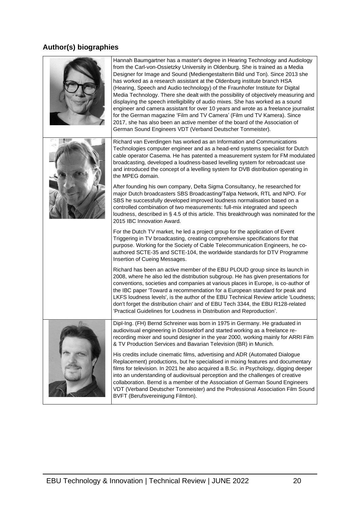# **Author(s) biographies**

|  | Hannah Baumgartner has a master's degree in Hearing Technology and Audiology<br>from the Carl-von-Ossietzky University in Oldenburg. She is trained as a Media<br>Designer for Image and Sound (Mediengestalterin Bild und Ton). Since 2013 she<br>has worked as a research assistant at the Oldenburg institute branch HSA<br>(Hearing, Speech and Audio technology) of the Fraunhofer Institute for Digital<br>Media Technology. There she dealt with the possibility of objectively measuring and<br>displaying the speech intelligibility of audio mixes. She has worked as a sound<br>engineer and camera assistant for over 10 years and wrote as a freelance journalist<br>for the German magazine 'Film and TV Camera' (Film und TV Kamera). Since<br>2017, she has also been an active member of the board of the Association of<br>German Sound Engineers VDT (Verband Deutscher Tonmeister). |
|--|---------------------------------------------------------------------------------------------------------------------------------------------------------------------------------------------------------------------------------------------------------------------------------------------------------------------------------------------------------------------------------------------------------------------------------------------------------------------------------------------------------------------------------------------------------------------------------------------------------------------------------------------------------------------------------------------------------------------------------------------------------------------------------------------------------------------------------------------------------------------------------------------------------|
|  | Richard van Everdingen has worked as an Information and Communications<br>Technologies computer engineer and as a head-end systems specialist for Dutch<br>cable operator Casema. He has patented a measurement system for FM modulated<br>broadcasting, developed a loudness-based levelling system for rebroadcast use<br>and introduced the concept of a levelling system for DVB distribution operating in<br>the MPEG domain.                                                                                                                                                                                                                                                                                                                                                                                                                                                                      |
|  | After founding his own company, Delta Sigma Consultancy, he researched for<br>major Dutch broadcasters SBS Broadcasting/Talpa Network, RTL and NPO. For<br>SBS he successfully developed improved loudness normalisation based on a<br>controlled combination of two measurements: full-mix integrated and speech<br>loudness, described in § 4.5 of this article. This breakthrough was nominated for the<br>2015 IBC Innovation Award.                                                                                                                                                                                                                                                                                                                                                                                                                                                                |
|  | For the Dutch TV market, he led a project group for the application of Event<br>Triggering in TV broadcasting, creating comprehensive specifications for that<br>purpose. Working for the Society of Cable Telecommunication Engineers, he co-<br>authored SCTE-35 and SCTE-104, the worldwide standards for DTV Programme<br>Insertion of Cueing Messages.                                                                                                                                                                                                                                                                                                                                                                                                                                                                                                                                             |
|  | Richard has been an active member of the EBU PLOUD group since its launch in<br>2008, where he also led the distribution subgroup. He has given presentations for<br>conventions, societies and companies at various places in Europe, is co-author of<br>the IBC paper 'Toward a recommendation for a European standard for peak and<br>LKFS loudness levels', is the author of the EBU Technical Review article 'Loudness;<br>don't forget the distribution chain' and of EBU Tech 3344, the EBU R128-related<br>'Practical Guidelines for Loudness in Distribution and Reproduction'.                                                                                                                                                                                                                                                                                                                |
|  | Dipl-Ing. (FH) Bernd Schreiner was born in 1975 in Germany. He graduated in<br>audiovisual engineering in Düsseldorf and started working as a freelance re-<br>recording mixer and sound designer in the year 2000, working mainly for ARRI Film<br>& TV Production Services and Bavarian Television (BR) in Munich.                                                                                                                                                                                                                                                                                                                                                                                                                                                                                                                                                                                    |
|  | His credits include cinematic films, advertising and ADR (Automated Dialogue<br>Replacement) productions, but he specialised in mixing features and documentary<br>films for television. In 2021 he also acquired a B.Sc. in Psychology, digging deeper<br>into an understanding of audiovisual perception and the challenges of creative<br>collaboration. Bernd is a member of the Association of German Sound Engineers<br>VDT (Verband Deutscher Tonmeister) and the Professional Association Film Sound<br>BVFT (Berufsvereinigung Filmton).                                                                                                                                                                                                                                                                                                                                                       |